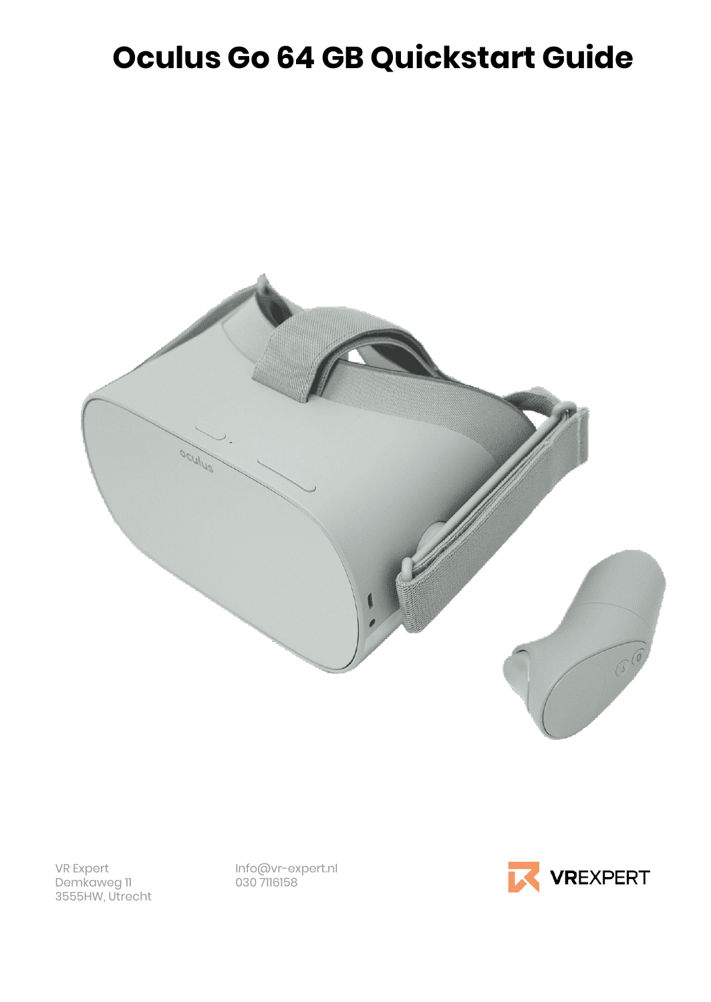# **Oculus Go 64 GB Quickstart Guide**



Demkaweg 11 3555HW, Utrecht

VR Expert Info@vr-expert.nl

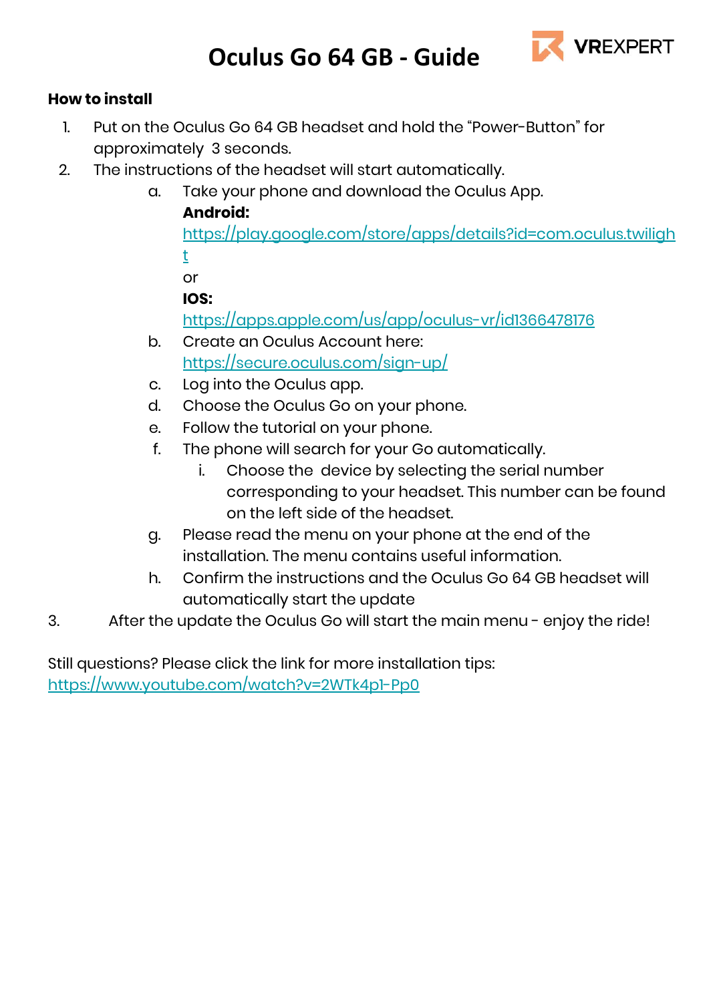

### **How to install**

- 1. Put on the Oculus Go 64 GB headset and hold the "Power-Button" for approximately 3 seconds.
- 2. The instructions of the headset will start automatically.
	- a. Take your phone and download the Oculus App.

### **Android:**

[https://play.google.com/store/apps/details?id=com.oculus.twiligh](https://play.google.com/store/apps/details?id=com.oculus.twilight) [t](https://play.google.com/store/apps/details?id=com.oculus.twilight)

or

### **IOS:**

<https://apps.apple.com/us/app/oculus-vr/id1366478176>

- b. Create an Oculus Account here: <https://secure.oculus.com/sign-up/>
- c. Log into the Oculus app.
- d. Choose the Oculus Go on your phone.
- e. Follow the tutorial on your phone.
- f. The phone will search for your Go automatically.
	- i. Choose the device by selecting the serial number corresponding to your headset. This number can be found on the left side of the headset.
- g. Please read the menu on your phone at the end of the installation. The menu contains useful information.
- h. Confirm the instructions and the Oculus Go 64 GB headset will automatically start the update
- 3. After the update the Oculus Go will start the main menu enjoy the ride!

Still questions? Please click the link for more installation tips: <https://www.youtube.com/watch?v=2WTk4p1-Pp0>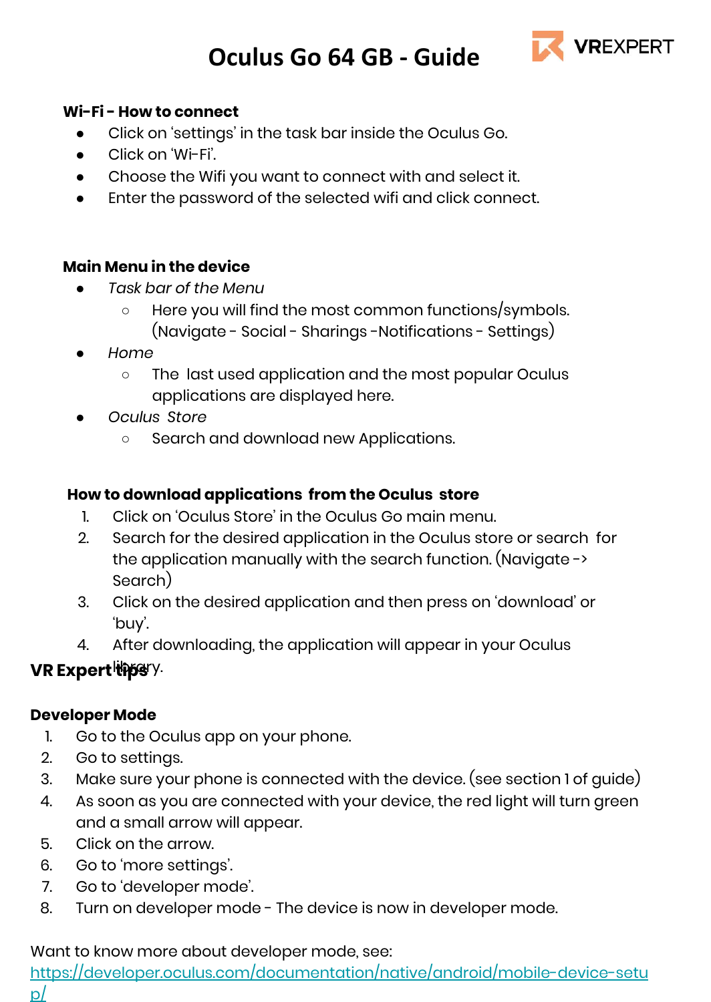

#### **Wi-Fi - How to connect**

- Click on 'settings' in the task bar inside the Oculus Go.
- Click on 'Wi-Fi'.
- Choose the Wifi you want to connect with and select it.
- Enter the password of the selected wifi and click connect.

#### **Main Menu in the device**

- *● Task bar of the Menu*
	- Here you will find the most common functions/symbols. (Navigate - Social - Sharings -Notifications - Settings)
- *● Home*
	- *○* The last used application and the most popular Oculus applications are displayed here.
- *● Oculus Store*
	- *○* Search and download new Applications.

### **How to download applications from the Oculus store**

- 1. Click on 'Oculus Store' in the Oculus Go main menu.
- 2. Search for the desired application in the Oculus store or search for the application manually with the search function. (Navigate -> Search)
- 3. Click on the desired application and then press on 'download' or 'buy'.
- 4. After downloading, the application will appear in your Oculus

### **VR Expert this S**ry.

### **Developer Mode**

- 1. Go to the Oculus app on your phone.
- 2. Go to settings.
- 3. Make sure your phone is connected with the device. (see section 1 of guide)
- 4. As soon as you are connected with your device, the red light will turn green and a small arrow will appear.
- 5. Click on the arrow.
- 6. Go to 'more settings'.
- 7. Go to 'developer mode'.
- 8. Turn on developer mode The device is now in developer mode.

#### Want to know more about developer mode, see:

[https://developer.oculus.com/documentation/native/android/mobile-device-setu](https://developer.oculus.com/documentation/native/android/mobile-device-setup/)

[p/](https://developer.oculus.com/documentation/native/android/mobile-device-setup/)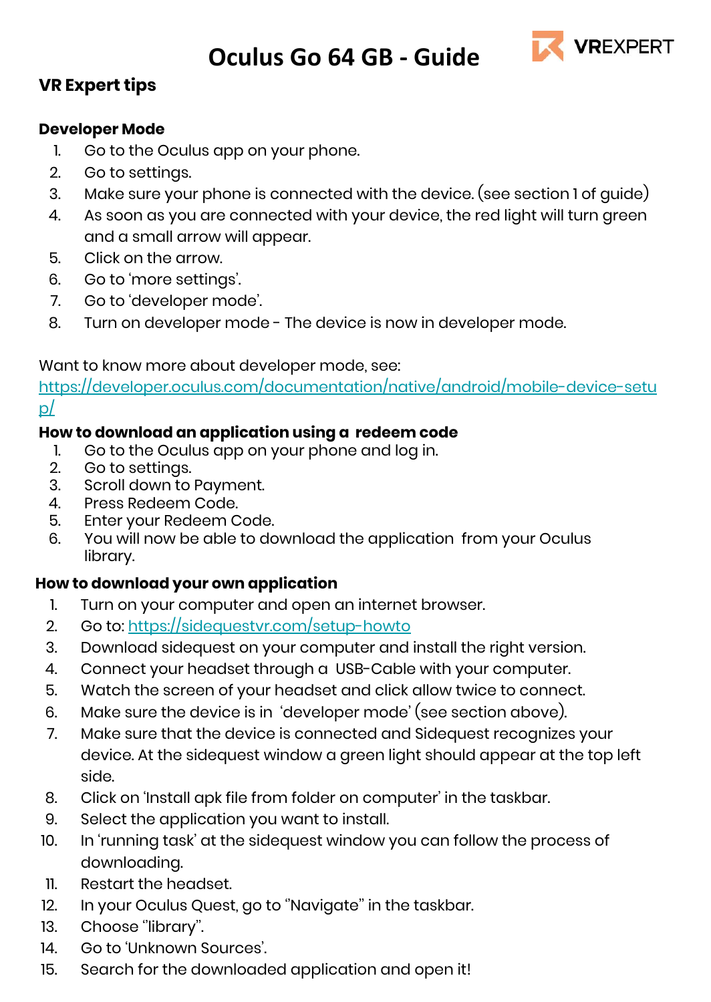

### **VR Expert tips**

### **Developer Mode**

- 1. Go to the Oculus app on your phone.
- 2. Go to settings.
- 3. Make sure your phone is connected with the device. (see section 1 of guide)
- 4. As soon as you are connected with your device, the red light will turn green and a small arrow will appear.
- 5. Click on the arrow.
- 6. Go to 'more settings'.
- 7. Go to 'developer mode'.
- 8. Turn on developer mode The device is now in developer mode.

### Want to know more about developer mode, see:

[https://developer.oculus.com/documentation/native/android/mobile-device-setu](https://developer.oculus.com/documentation/native/android/mobile-device-setup/) [p/](https://developer.oculus.com/documentation/native/android/mobile-device-setup/)

### **How to download an application using a redeem code**

- 1. Go to the Oculus app on your phone and log in.<br>2. Go to settings
- Go to settings.
- 3. Scroll down to Payment.
- 4. Press Redeem Code.
- 5. Enter your Redeem Code.
- 6. You will now be able to download the application from your Oculus library.

### **How to download your own application**

- 1. Turn on your computer and open an internet browser.
- 2. Go to:<https://sidequestvr.com/setup-howto>
- 3. Download sidequest on your computer and install the right version.
- 4. Connect your headset through a USB-Cable with your computer.
- 5. Watch the screen of your headset and click allow twice to connect.
- 6. Make sure the device is in 'developer mode' (see section above).
- 7. Make sure that the device is connected and Sidequest recognizes your device. At the sidequest window a green light should appear at the top left side.
- 8. Click on 'Install apk file from folder on computer' in the taskbar.
- 9. Select the application you want to install.
- 10. In 'running task' at the sidequest window you can follow the process of downloading.
- 11. Restart the headset.
- 12. In your Oculus Quest, go to ''Navigate'' in the taskbar.
- 13. Choose "library".
- 14. Go to 'Unknown Sources'.
- 15. Search for the downloaded application and open it!